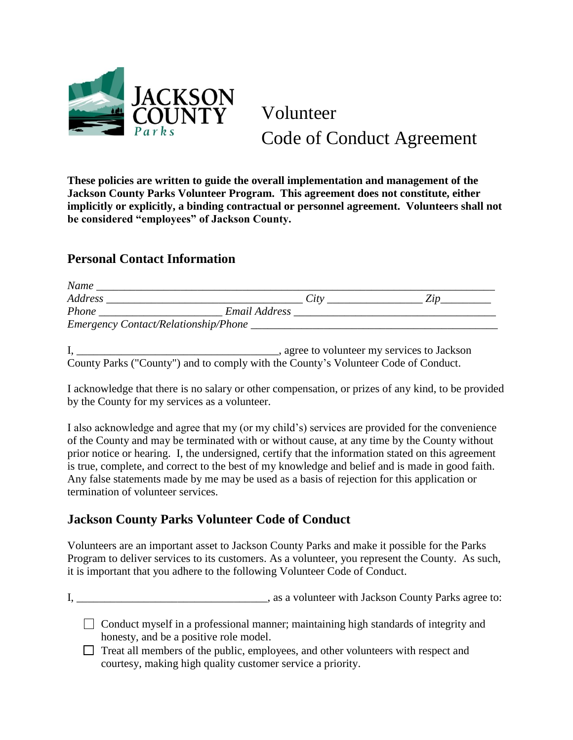

Volunteer Code of Conduct Agreement

**These policies are written to guide the overall implementation and management of the Jackson County Parks Volunteer Program. This agreement does not constitute, either implicitly or explicitly, a binding contractual or personnel agreement. Volunteers shall not be considered "employees" of Jackson County.**

## **Personal Contact Information**

| Name                                 |               |  |
|--------------------------------------|---------------|--|
| Address                              | City          |  |
| Phone                                | Email Address |  |
| Emergency Contact/Relationship/Phone |               |  |

I, \_\_\_\_\_\_\_\_\_\_\_\_\_\_\_\_\_\_\_\_\_\_\_\_\_\_\_\_\_\_\_\_\_\_\_\_, agree to volunteer my services to Jackson County Parks ("County") and to comply with the County's Volunteer Code of Conduct.

I acknowledge that there is no salary or other compensation, or prizes of any kind, to be provided by the County for my services as a volunteer.

I also acknowledge and agree that my (or my child's) services are provided for the convenience of the County and may be terminated with or without cause, at any time by the County without prior notice or hearing. I, the undersigned, certify that the information stated on this agreement is true, complete, and correct to the best of my knowledge and belief and is made in good faith. Any false statements made by me may be used as a basis of rejection for this application or termination of volunteer services.

## **Jackson County Parks Volunteer Code of Conduct**

Volunteers are an important asset to Jackson County Parks and make it possible for the Parks Program to deliver services to its customers. As a volunteer, you represent the County. As such, it is important that you adhere to the following Volunteer Code of Conduct.

I, \_\_\_\_\_\_\_\_\_\_\_\_\_\_\_\_\_\_\_\_\_\_\_\_\_\_\_\_\_\_\_\_\_\_, as a volunteer with Jackson County Parks agree to:

- Conduct myself in a professional manner; maintaining high standards of integrity and honesty, and be a positive role model.
- Treat all members of the public, employees, and other volunteers with respect and courtesy, making high quality customer service a priority.